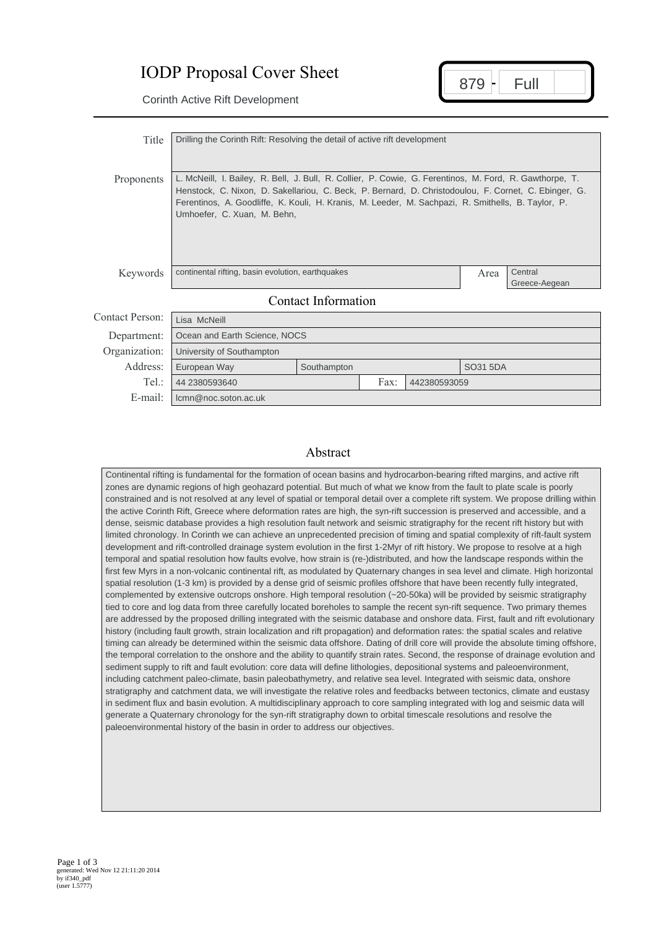## IODP Proposal Cover Sheet

 $879 -$ Corinth Active Rift Development<br>Corinth Active Rift Development

| Title               | Drilling the Corinth Rift: Resolving the detail of active rift development                                                                                                                                                                                                                                                                           |                      |                          |  |          |  |  |  |
|---------------------|------------------------------------------------------------------------------------------------------------------------------------------------------------------------------------------------------------------------------------------------------------------------------------------------------------------------------------------------------|----------------------|--------------------------|--|----------|--|--|--|
| <b>Proponents</b>   | L. McNeill, I. Bailey, R. Bell, J. Bull, R. Collier, P. Cowie, G. Ferentinos, M. Ford, R. Gawthorpe, T.<br>Henstock, C. Nixon, D. Sakellariou, C. Beck, P. Bernard, D. Christodoulou, F. Cornet, C. Ebinger, G.<br>Ferentinos, A. Goodliffe, K. Kouli, H. Kranis, M. Leeder, M. Sachpazi, R. Smithells, B. Taylor, P.<br>Umhoefer, C. Xuan, M. Behn, |                      |                          |  |          |  |  |  |
| Keywords            | continental rifting, basin evolution, earthquakes                                                                                                                                                                                                                                                                                                    | Area                 | Central<br>Greece-Aegean |  |          |  |  |  |
| Contact Information |                                                                                                                                                                                                                                                                                                                                                      |                      |                          |  |          |  |  |  |
| Contact Person:     | Lisa McNeill                                                                                                                                                                                                                                                                                                                                         |                      |                          |  |          |  |  |  |
| Department:         | Ocean and Earth Science, NOCS                                                                                                                                                                                                                                                                                                                        |                      |                          |  |          |  |  |  |
| Organization:       | University of Southampton                                                                                                                                                                                                                                                                                                                            |                      |                          |  |          |  |  |  |
| Address:            | European Way                                                                                                                                                                                                                                                                                                                                         | Southampton          |                          |  | SO31 5DA |  |  |  |
| Tel:                | 44 2380593640                                                                                                                                                                                                                                                                                                                                        | Fax:<br>442380593059 |                          |  |          |  |  |  |
| E-mail:             | lcmn@noc.soton.ac.uk                                                                                                                                                                                                                                                                                                                                 |                      |                          |  |          |  |  |  |

## Abstract

Continental rifting is fundamental for the formation of ocean basins and hydrocarbon-bearing rifted margins, and active rift zones are dynamic regions of high geohazard potential. But much of what we know from the fault to plate scale is poorly constrained and is not resolved at any level of spatial or temporal detail over a complete rift system. We propose drilling within the active Corinth Rift, Greece where deformation rates are high, the syn-rift succession is preserved and accessible, and a dense, seismic database provides a high resolution fault network and seismic stratigraphy for the recent rift history but with limited chronology. In Corinth we can achieve an unprecedented precision of timing and spatial complexity of rift-fault system development and rift-controlled drainage system evolution in the first 1-2Myr of rift history. We propose to resolve at a high temporal and spatial resolution how faults evolve, how strain is (re-)distributed, and how the landscape responds within the first few Myrs in a non-volcanic continental rift, as modulated by Quaternary changes in sea level and climate. High horizontal spatial resolution (1-3 km) is provided by a dense grid of seismic profiles offshore that have been recently fully integrated, complemented by extensive outcrops onshore. High temporal resolution (~20-50ka) will be provided by seismic stratigraphy tied to core and log data from three carefully located boreholes to sample the recent syn-rift sequence. Two primary themes are addressed by the proposed drilling integrated with the seismic database and onshore data. First, fault and rift evolutionary history (including fault growth, strain localization and rift propagation) and deformation rates: the spatial scales and relative timing can already be determined within the seismic data offshore. Dating of drill core will provide the absolute timing offshore, the temporal correlation to the onshore and the ability to quantify strain rates. Second, the response of drainage evolution and sediment supply to rift and fault evolution: core data will define lithologies, depositional systems and paleoenvironment, including catchment paleo-climate, basin paleobathymetry, and relative sea level. Integrated with seismic data, onshore stratigraphy and catchment data, we will investigate the relative roles and feedbacks between tectonics, climate and eustasy in sediment flux and basin evolution. A multidisciplinary approach to core sampling integrated with log and seismic data will generate a Quaternary chronology for the syn-rift stratigraphy down to orbital timescale resolutions and resolve the paleoenvironmental history of the basin in order to address our objectives.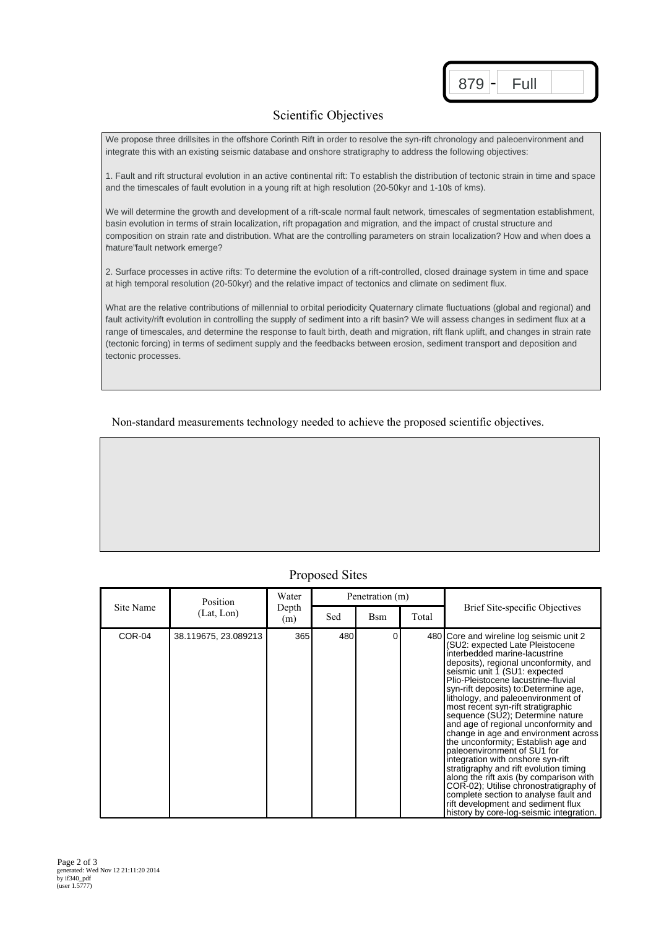| ŏ |  |
|---|--|
|   |  |

## Scientific Objectives

We propose three drillsites in the offshore Corinth Rift in order to resolve the syn-rift chronology and paleoenvironment and integrate this with an existing seismic database and onshore stratigraphy to address the following objectives:

1. Fault and rift structural evolution in an active continental rift: To establish the distribution of tectonic strain in time and space and the timescales of fault evolution in a young rift at high resolution (20-50kyr and 1-10's of kms).

We will determine the growth and development of a rift-scale normal fault network, timescales of segmentation establishment, basin evolution in terms of strain localization, rift propagation and migration, and the impact of crustal structure and composition on strain rate and distribution. What are the controlling parameters on strain localization? How and when does a 'mature" fault network emerge?

2. Surface processes in active rifts: To determine the evolution of a rift-controlled, closed drainage system in time and space at high temporal resolution (20-50kyr) and the relative impact of tectonics and climate on sediment flux.

What are the relative contributions of millennial to orbital periodicity Quaternary climate fluctuations (global and regional) and fault activity/rift evolution in controlling the supply of sediment into a rift basin? We will assess changes in sediment flux at a range of timescales, and determine the response to fault birth, death and migration, rift flank uplift, and changes in strain rate (tectonic forcing) in terms of sediment supply and the feedbacks between erosion, sediment transport and deposition and tectonic processes.

Non-standard measurements technology needed to achieve the proposed scientific objectives.

## Proposed Sites

| Site Name | Position<br>(Lat, Lon) | Water<br>Depth<br>(m) | Penetration (m) |     |       |                                                                                                                                                                                                                                                                                                                                                                                                                                                                                                                                                                                                                                                                                                                                                                                                                                            |
|-----------|------------------------|-----------------------|-----------------|-----|-------|--------------------------------------------------------------------------------------------------------------------------------------------------------------------------------------------------------------------------------------------------------------------------------------------------------------------------------------------------------------------------------------------------------------------------------------------------------------------------------------------------------------------------------------------------------------------------------------------------------------------------------------------------------------------------------------------------------------------------------------------------------------------------------------------------------------------------------------------|
|           |                        |                       | Sed             | Bsm | Total | Brief Site-specific Objectives                                                                                                                                                                                                                                                                                                                                                                                                                                                                                                                                                                                                                                                                                                                                                                                                             |
| COR-04    | 38.119675, 23.089213   | 365                   | 480             | ი   |       | 480 Core and wireline log seismic unit 2<br>(SU2: expected Late Pleistocene<br>interbedded marine-lacustrine<br>deposits), regional unconformity, and<br>seismic unit 1 (SU1: expected<br>Plio-Pleistocene lacustrine-fluvial<br>syn-rift deposits) to:Determine age,<br>lithology, and paleoenvironment of<br>most recent syn-rift stratigraphic<br>sequence (SU2); Determine nature<br>and age of regional unconformity and<br>change in age and environment across<br>the unconformity; Establish age and<br>paleoenvironment of SU1 for<br>integration with onshore syn-rift<br>stratigraphy and rift evolution timing<br>along the rift axis (by comparison with<br>COR-02); Utilise chronostratigraphy of<br>complete section to analyse fault and<br>rift development and sediment flux<br>history by core-log-seismic integration. |